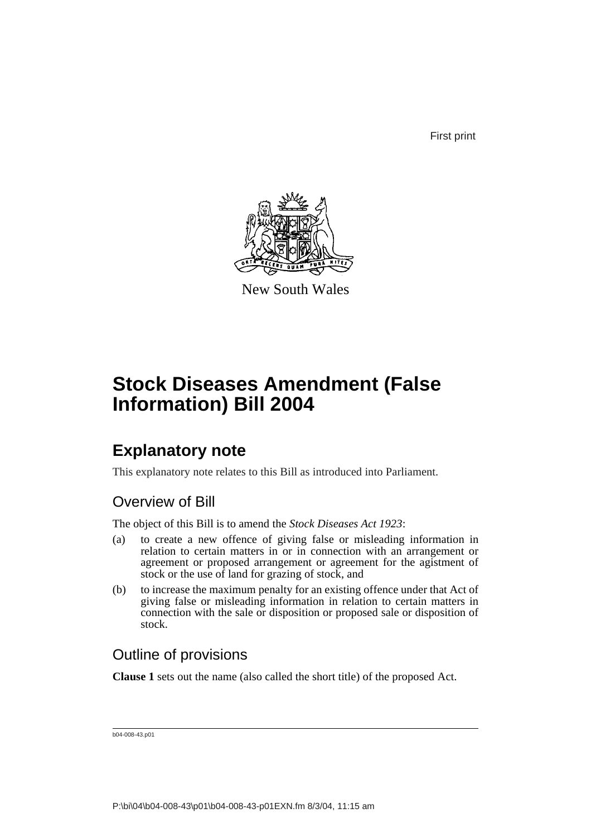First print



New South Wales

# **Stock Diseases Amendment (False Information) Bill 2004**

### **Explanatory note**

This explanatory note relates to this Bill as introduced into Parliament.

#### Overview of Bill

The object of this Bill is to amend the *Stock Diseases Act 1923*:

- (a) to create a new offence of giving false or misleading information in relation to certain matters in or in connection with an arrangement or agreement or proposed arrangement or agreement for the agistment of stock or the use of land for grazing of stock, and
- (b) to increase the maximum penalty for an existing offence under that Act of giving false or misleading information in relation to certain matters in connection with the sale or disposition or proposed sale or disposition of stock.

#### Outline of provisions

**Clause 1** sets out the name (also called the short title) of the proposed Act.

b04-008-43.p01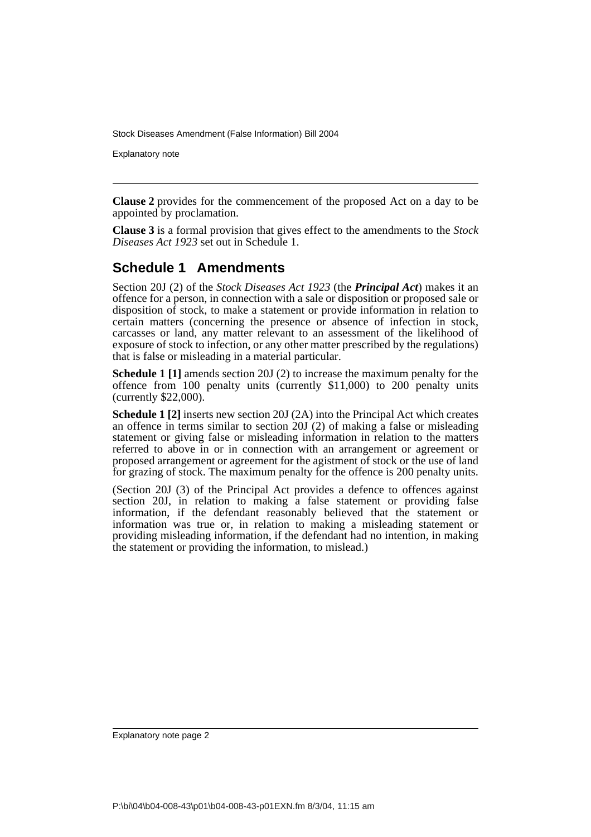Stock Diseases Amendment (False Information) Bill 2004

Explanatory note

**Clause 2** provides for the commencement of the proposed Act on a day to be appointed by proclamation.

**Clause 3** is a formal provision that gives effect to the amendments to the *Stock Diseases Act 1923* set out in Schedule 1.

#### **Schedule 1 Amendments**

Section 20J (2) of the *Stock Diseases Act 1923* (the *Principal Act*) makes it an offence for a person, in connection with a sale or disposition or proposed sale or disposition of stock, to make a statement or provide information in relation to certain matters (concerning the presence or absence of infection in stock, carcasses or land, any matter relevant to an assessment of the likelihood of exposure of stock to infection, or any other matter prescribed by the regulations) that is false or misleading in a material particular.

**Schedule 1 [1]** amends section 20J (2) to increase the maximum penalty for the offence from 100 penalty units (currently \$11,000) to 200 penalty units (currently \$22,000).

**Schedule 1 [2]** inserts new section 20J (2A) into the Principal Act which creates an offence in terms similar to section 20J (2) of making a false or misleading statement or giving false or misleading information in relation to the matters referred to above in or in connection with an arrangement or agreement or proposed arrangement or agreement for the agistment of stock or the use of land for grazing of stock. The maximum penalty for the offence is 200 penalty units.

(Section 20J (3) of the Principal Act provides a defence to offences against section 20J, in relation to making a false statement or providing false information, if the defendant reasonably believed that the statement or information was true or, in relation to making a misleading statement or providing misleading information, if the defendant had no intention, in making the statement or providing the information, to mislead.)

Explanatory note page 2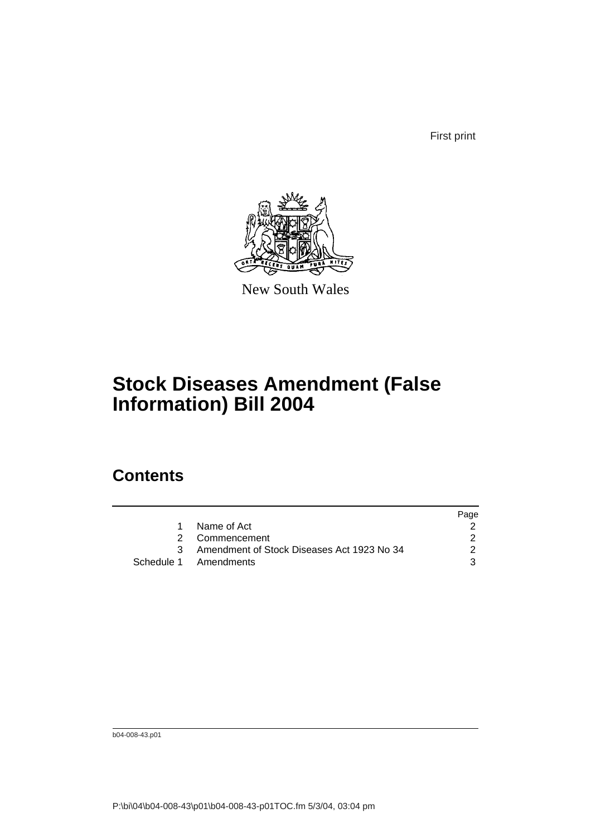First print



New South Wales

## **Stock Diseases Amendment (False Information) Bill 2004**

### **Contents**

|                                              | Page |
|----------------------------------------------|------|
| 1 Name of Act                                |      |
| 2 Commencement                               |      |
| 3 Amendment of Stock Diseases Act 1923 No 34 |      |
| Schedule 1 Amendments                        | 3    |

b04-008-43.p01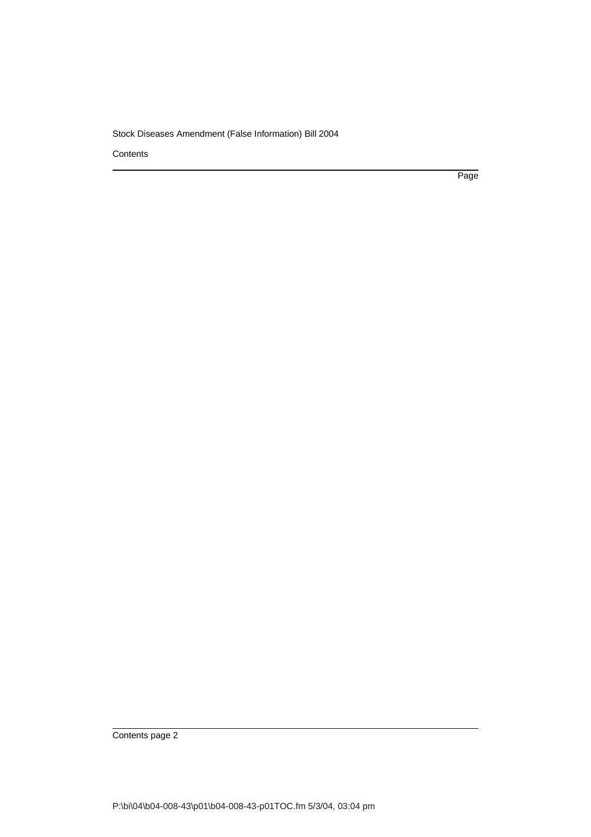#### Stock Diseases Amendment (False Information) Bill 2004

**Contents** 

Page

Contents page 2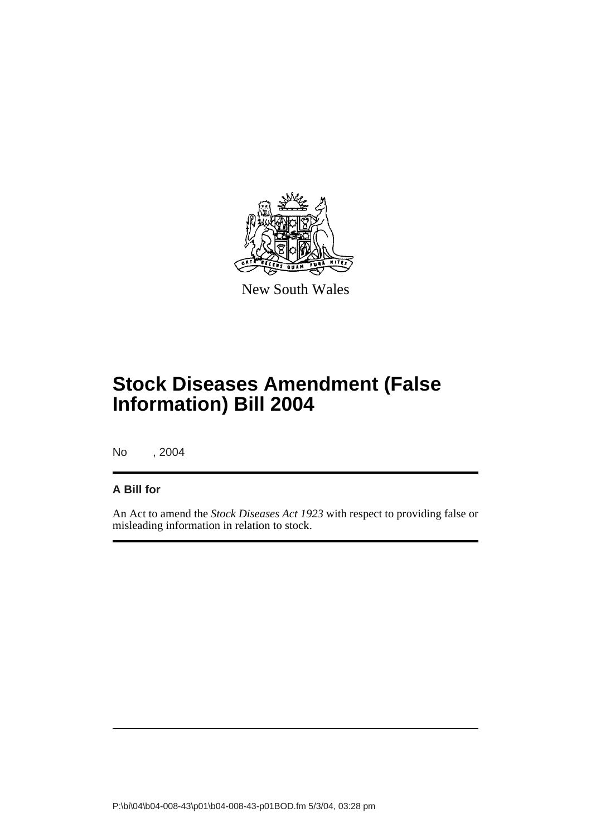

New South Wales

# **Stock Diseases Amendment (False Information) Bill 2004**

No , 2004

#### **A Bill for**

An Act to amend the *Stock Diseases Act 1923* with respect to providing false or misleading information in relation to stock.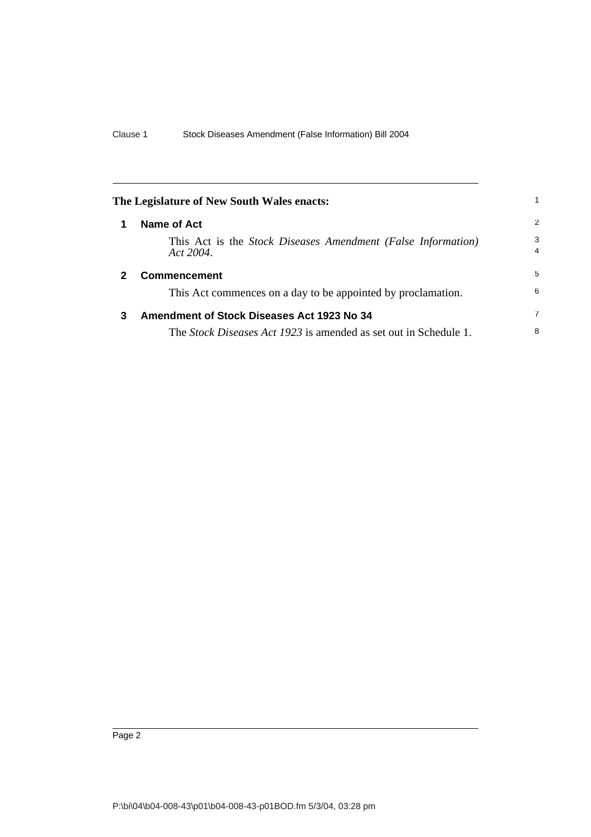<span id="page-5-2"></span><span id="page-5-1"></span><span id="page-5-0"></span>

|              | The Legislature of New South Wales enacts:                                |                     |
|--------------|---------------------------------------------------------------------------|---------------------|
|              | Name of Act                                                               | 2                   |
|              | This Act is the Stock Diseases Amendment (False Information)<br>Act 2004. | 3<br>$\overline{4}$ |
| $\mathbf{2}$ | <b>Commencement</b>                                                       | 5                   |
|              | This Act commences on a day to be appointed by proclamation.              | 6                   |
| 3            | <b>Amendment of Stock Diseases Act 1923 No 34</b>                         | $\overline{7}$      |
|              | The <i>Stock Diseases Act 1923</i> is amended as set out in Schedule 1.   | 8                   |